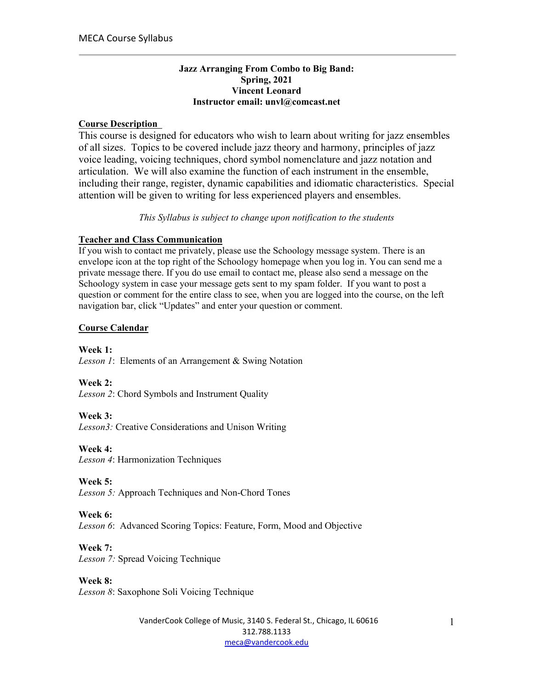### **Jazz Arranging From Combo to Big Band: Spring, 2021 Vincent Leonard Instructor email: unvl@comcast.net**

## **Course Description**

This course is designed for educators who wish to learn about writing for jazz ensembles of all sizes. Topics to be covered include jazz theory and harmony, principles of jazz voice leading, voicing techniques, chord symbol nomenclature and jazz notation and articulation. We will also examine the function of each instrument in the ensemble, including their range, register, dynamic capabilities and idiomatic characteristics. Special attention will be given to writing for less experienced players and ensembles.

*This Syllabus is subject to change upon notification to the students*

## **Teacher and Class Communication**

If you wish to contact me privately, please use the Schoology message system. There is an envelope icon at the top right of the Schoology homepage when you log in. You can send me a private message there. If you do use email to contact me, please also send a message on the Schoology system in case your message gets sent to my spam folder. If you want to post a question or comment for the entire class to see, when you are logged into the course, on the left navigation bar, click "Updates" and enter your question or comment.

## **Course Calendar**

**Week 1:** *Lesson 1*: Elements of an Arrangement & Swing Notation

**Week 2:** *Lesson 2*: Chord Symbols and Instrument Quality

**Week 3:** *Lesson3:* Creative Considerations and Unison Writing

**Week 4:** *Lesson 4*: Harmonization Techniques

**Week 5:** *Lesson 5:* Approach Techniques and Non-Chord Tones

### **Week 6:**

*Lesson 6*: Advanced Scoring Topics: Feature, Form, Mood and Objective

**Week 7:**

*Lesson 7:* Spread Voicing Technique

### **Week 8:**

*Lesson 8*: Saxophone Soli Voicing Technique

VanderCook College of Music, 3140 S. Federal St., Chicago, IL 60616 312.788.1133 meca@vandercook.edu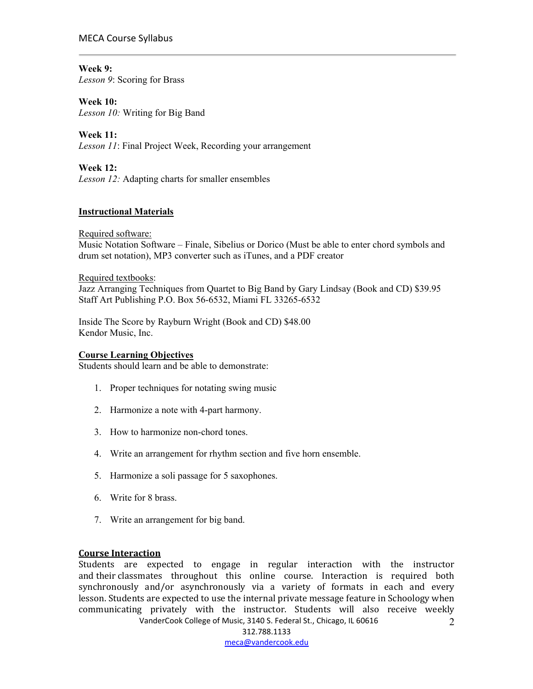### MECA Course Syllabus

### **Week 9:**

*Lesson 9*: Scoring for Brass

### **Week 10:**

*Lesson 10:* Writing for Big Band

**Week 11:** *Lesson 11*: Final Project Week, Recording your arrangement

## **Week 12:**

*Lesson 12:* Adapting charts for smaller ensembles

## **Instructional Materials**

Required software: Music Notation Software – Finale, Sibelius or Dorico (Must be able to enter chord symbols and drum set notation), MP3 converter such as iTunes, and a PDF creator

#### Required textbooks:

Jazz Arranging Techniques from Quartet to Big Band by Gary Lindsay (Book and CD) \$39.95 Staff Art Publishing P.O. Box 56-6532, Miami FL 33265-6532

Inside The Score by Rayburn Wright (Book and CD) \$48.00 Kendor Music, Inc.

### **Course Learning Objectives**

Students should learn and be able to demonstrate:

- 1. Proper techniques for notating swing music
- 2. Harmonize a note with 4-part harmony.
- 3. How to harmonize non-chord tones.
- 4. Write an arrangement for rhythm section and five horn ensemble.
- 5. Harmonize a soli passage for 5 saxophones.
- 6. Write for 8 brass.
- 7. Write an arrangement for big band.

#### **Course Interaction**

VanderCook College of Music, 3140 S. Federal St., Chicago, IL 60616 Students are expected to engage in regular interaction with the instructor and their classmates throughout this online course. Interaction is required both synchronously and/or asynchronously via a variety of formats in each and every lesson. Students are expected to use the internal private message feature in Schoology when communicating privately with the instructor. Students will also receive weekly

312.788.1133 meca@vandercook.edu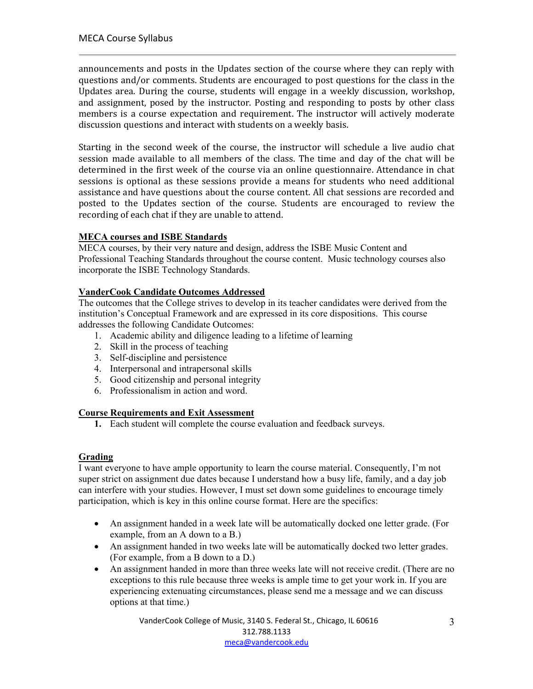announcements and posts in the Updates section of the course where they can reply with questions and/or comments. Students are encouraged to post questions for the class in the Updates area. During the course, students will engage in a weekly discussion, workshop, and assignment, posed by the instructor. Posting and responding to posts by other class members is a course expectation and requirement. The instructor will actively moderate discussion questions and interact with students on a weekly basis.

Starting in the second week of the course, the instructor will schedule a live audio chat session made available to all members of the class. The time and day of the chat will be determined in the first week of the course via an online questionnaire. Attendance in chat sessions is optional as these sessions provide a means for students who need additional assistance and have questions about the course content. All chat sessions are recorded and posted to the Updates section of the course. Students are encouraged to review the recording of each chat if they are unable to attend.

## **MECA courses and ISBE Standards**

MECA courses, by their very nature and design, address the ISBE Music Content and Professional Teaching Standards throughout the course content. Music technology courses also incorporate the ISBE Technology Standards.

## **VanderCook Candidate Outcomes Addressed**

The outcomes that the College strives to develop in its teacher candidates were derived from the institution's Conceptual Framework and are expressed in its core dispositions. This course addresses the following Candidate Outcomes:

- 1. Academic ability and diligence leading to a lifetime of learning
- 2. Skill in the process of teaching
- 3. Self-discipline and persistence
- 4. Interpersonal and intrapersonal skills
- 5. Good citizenship and personal integrity
- 6. Professionalism in action and word.

### **Course Requirements and Exit Assessment**

**1.** Each student will complete the course evaluation and feedback surveys.

# **Grading**

I want everyone to have ample opportunity to learn the course material. Consequently, I'm not super strict on assignment due dates because I understand how a busy life, family, and a day job can interfere with your studies. However, I must set down some guidelines to encourage timely participation, which is key in this online course format. Here are the specifics:

- An assignment handed in a week late will be automatically docked one letter grade. (For example, from an A down to a B.)
- An assignment handed in two weeks late will be automatically docked two letter grades. (For example, from a B down to a D.)
- An assignment handed in more than three weeks late will not receive credit. (There are no exceptions to this rule because three weeks is ample time to get your work in. If you are experiencing extenuating circumstances, please send me a message and we can discuss options at that time.)

VanderCook College of Music, 3140 S. Federal St., Chicago, IL 60616 312.788.1133 meca@vandercook.edu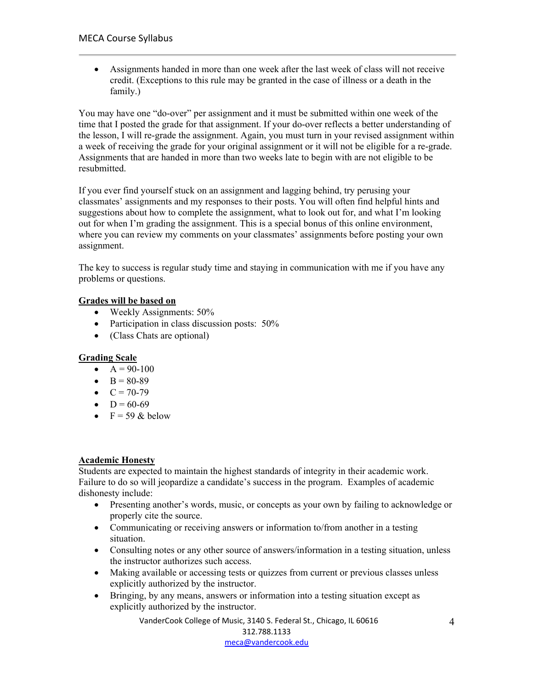• Assignments handed in more than one week after the last week of class will not receive credit. (Exceptions to this rule may be granted in the case of illness or a death in the family.)

You may have one "do-over" per assignment and it must be submitted within one week of the time that I posted the grade for that assignment. If your do-over reflects a better understanding of the lesson, I will re-grade the assignment. Again, you must turn in your revised assignment within a week of receiving the grade for your original assignment or it will not be eligible for a re-grade. Assignments that are handed in more than two weeks late to begin with are not eligible to be resubmitted.

If you ever find yourself stuck on an assignment and lagging behind, try perusing your classmates' assignments and my responses to their posts. You will often find helpful hints and suggestions about how to complete the assignment, what to look out for, and what I'm looking out for when I'm grading the assignment. This is a special bonus of this online environment, where you can review my comments on your classmates' assignments before posting your own assignment.

The key to success is regular study time and staying in communication with me if you have any problems or questions.

## **Grades will be based on**

- Weekly Assignments: 50%
- Participation in class discussion posts: 50%
- (Class Chats are optional)

### **Grading Scale**

- $A = 90-100$
- $B = 80-89$
- $C = 70-79$
- $D = 60-69$
- $F = 59$  & below

### **Academic Honesty**

Students are expected to maintain the highest standards of integrity in their academic work. Failure to do so will jeopardize a candidate's success in the program. Examples of academic dishonesty include:

- Presenting another's words, music, or concepts as your own by failing to acknowledge or properly cite the source.
- Communicating or receiving answers or information to/from another in a testing situation.
- Consulting notes or any other source of answers/information in a testing situation, unless the instructor authorizes such access.
- Making available or accessing tests or quizzes from current or previous classes unless explicitly authorized by the instructor.
- Bringing, by any means, answers or information into a testing situation except as explicitly authorized by the instructor.

VanderCook College of Music, 3140 S. Federal St., Chicago, IL 60616